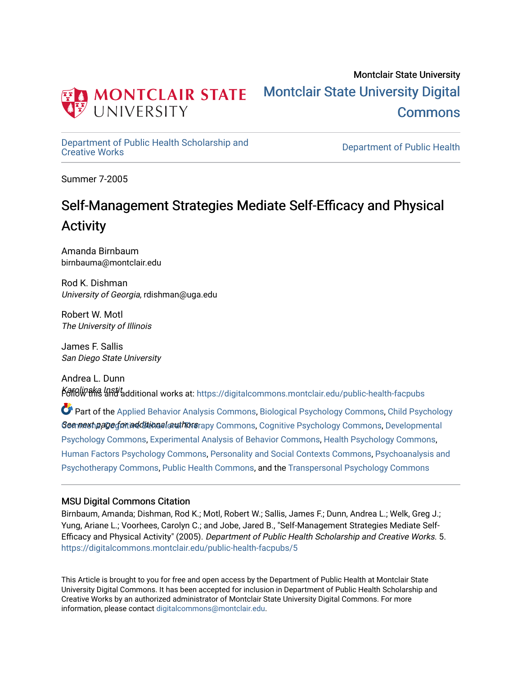

[Department of Public Health Scholarship and](https://digitalcommons.montclair.edu/public-health-facpubs) 

Department of Public Health

Summer 7-2005

# Self-Management Strategies Mediate Self-Efficacy and Physical Activity

Amanda Birnbaum birnbauma@montclair.edu

Rod K. Dishman University of Georgia, rdishman@uga.edu

Robert W. Motl The University of Illinois

James F. Sallis San Diego State University

Andrea L. Dunn Karolinska Instit.<br>Follow this and additional works at: https://digitalcommons.montclair.edu/public-health-facpubs

See mext page for additional authors apy [Commons](http://network.bepress.com/hgg/discipline/1023?utm_source=digitalcommons.montclair.edu%2Fpublic-health-facpubs%2F5&utm_medium=PDF&utm_campaign=PDFCoverPages), [Cognitive Psychology Commons,](http://network.bepress.com/hgg/discipline/408?utm_source=digitalcommons.montclair.edu%2Fpublic-health-facpubs%2F5&utm_medium=PDF&utm_campaign=PDFCoverPages) Developmental Part of the [Applied Behavior Analysis Commons](http://network.bepress.com/hgg/discipline/1235?utm_source=digitalcommons.montclair.edu%2Fpublic-health-facpubs%2F5&utm_medium=PDF&utm_campaign=PDFCoverPages), [Biological Psychology Commons,](http://network.bepress.com/hgg/discipline/405?utm_source=digitalcommons.montclair.edu%2Fpublic-health-facpubs%2F5&utm_medium=PDF&utm_campaign=PDFCoverPages) [Child Psychology](http://network.bepress.com/hgg/discipline/1023?utm_source=digitalcommons.montclair.edu%2Fpublic-health-facpubs%2F5&utm_medium=PDF&utm_campaign=PDFCoverPages) [Psychology Commons,](http://network.bepress.com/hgg/discipline/410?utm_source=digitalcommons.montclair.edu%2Fpublic-health-facpubs%2F5&utm_medium=PDF&utm_campaign=PDFCoverPages) [Experimental Analysis of Behavior Commons](http://network.bepress.com/hgg/discipline/1236?utm_source=digitalcommons.montclair.edu%2Fpublic-health-facpubs%2F5&utm_medium=PDF&utm_campaign=PDFCoverPages), [Health Psychology Commons](http://network.bepress.com/hgg/discipline/411?utm_source=digitalcommons.montclair.edu%2Fpublic-health-facpubs%2F5&utm_medium=PDF&utm_campaign=PDFCoverPages), [Human Factors Psychology Commons](http://network.bepress.com/hgg/discipline/1412?utm_source=digitalcommons.montclair.edu%2Fpublic-health-facpubs%2F5&utm_medium=PDF&utm_campaign=PDFCoverPages), [Personality and Social Contexts Commons,](http://network.bepress.com/hgg/discipline/413?utm_source=digitalcommons.montclair.edu%2Fpublic-health-facpubs%2F5&utm_medium=PDF&utm_campaign=PDFCoverPages) [Psychoanalysis and](http://network.bepress.com/hgg/discipline/716?utm_source=digitalcommons.montclair.edu%2Fpublic-health-facpubs%2F5&utm_medium=PDF&utm_campaign=PDFCoverPages) [Psychotherapy Commons](http://network.bepress.com/hgg/discipline/716?utm_source=digitalcommons.montclair.edu%2Fpublic-health-facpubs%2F5&utm_medium=PDF&utm_campaign=PDFCoverPages), [Public Health Commons](http://network.bepress.com/hgg/discipline/738?utm_source=digitalcommons.montclair.edu%2Fpublic-health-facpubs%2F5&utm_medium=PDF&utm_campaign=PDFCoverPages), and the [Transpersonal Psychology Commons](http://network.bepress.com/hgg/discipline/1388?utm_source=digitalcommons.montclair.edu%2Fpublic-health-facpubs%2F5&utm_medium=PDF&utm_campaign=PDFCoverPages) 

# MSU Digital Commons Citation

Birnbaum, Amanda; Dishman, Rod K.; Motl, Robert W.; Sallis, James F.; Dunn, Andrea L.; Welk, Greg J.; Yung, Ariane L.; Voorhees, Carolyn C.; and Jobe, Jared B., "Self-Management Strategies Mediate Self-Efficacy and Physical Activity" (2005). Department of Public Health Scholarship and Creative Works. 5. [https://digitalcommons.montclair.edu/public-health-facpubs/5](https://digitalcommons.montclair.edu/public-health-facpubs/5?utm_source=digitalcommons.montclair.edu%2Fpublic-health-facpubs%2F5&utm_medium=PDF&utm_campaign=PDFCoverPages)

This Article is brought to you for free and open access by the Department of Public Health at Montclair State University Digital Commons. It has been accepted for inclusion in Department of Public Health Scholarship and Creative Works by an authorized administrator of Montclair State University Digital Commons. For more information, please contact [digitalcommons@montclair.edu](mailto:digitalcommons@montclair.edu).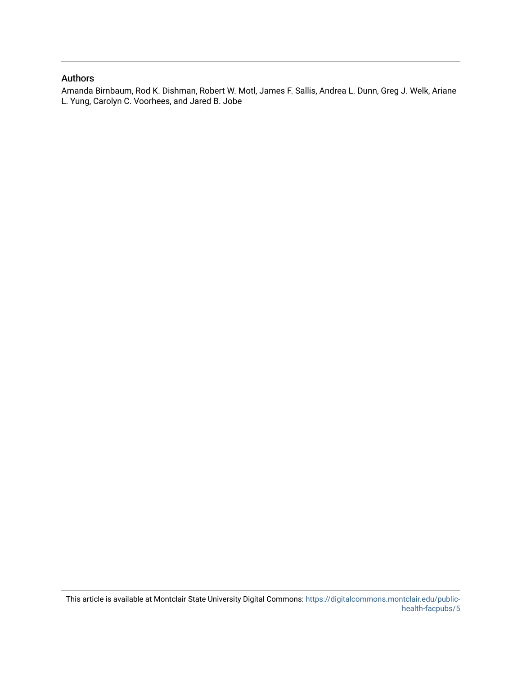# Authors

Amanda Birnbaum, Rod K. Dishman, Robert W. Motl, James F. Sallis, Andrea L. Dunn, Greg J. Welk, Ariane L. Yung, Carolyn C. Voorhees, and Jared B. Jobe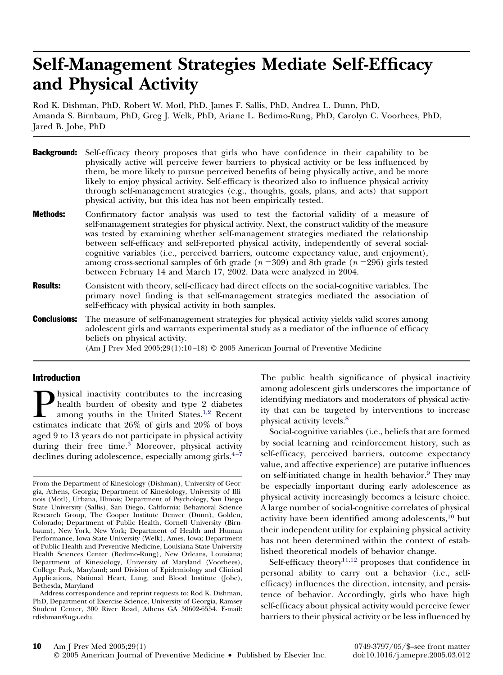# **Self-Management Strategies Mediate Self-Efficacy and Physical Activity**

Rod K. Dishman, PhD, Robert W. Motl, PhD, James F. Sallis, PhD, Andrea L. Dunn, PhD, Amanda S. Birnbaum, PhD, Greg J. Welk, PhD, Ariane L. Bedimo-Rung, PhD, Carolyn C. Voorhees, PhD, Jared B. Jobe, PhD

|                     | <b>Background:</b> Self-efficacy theory proposes that girls who have confidence in their capability to be<br>physically active will perceive fewer barriers to physical activity or be less influenced by<br>them, be more likely to pursue perceived benefits of being physically active, and be more<br>likely to enjoy physical activity. Self-efficacy is theorized also to influence physical activity<br>through self-management strategies (e.g., thoughts, goals, plans, and acts) that support<br>physical activity, but this idea has not been empirically tested.                                                                         |
|---------------------|------------------------------------------------------------------------------------------------------------------------------------------------------------------------------------------------------------------------------------------------------------------------------------------------------------------------------------------------------------------------------------------------------------------------------------------------------------------------------------------------------------------------------------------------------------------------------------------------------------------------------------------------------|
| <b>Methods:</b>     | Confirmatory factor analysis was used to test the factorial validity of a measure of<br>self-management strategies for physical activity. Next, the construct validity of the measure<br>was tested by examining whether self-management strategies mediated the relationship<br>between self-efficacy and self-reported physical activity, independently of several social-<br>cognitive variables (i.e., perceived barriers, outcome expectancy value, and enjoyment),<br>among cross-sectional samples of 6th grade ( $n = 309$ ) and 8th grade ( $n = 296$ ) girls tested<br>between February 14 and March 17, 2002. Data were analyzed in 2004. |
| <b>Results:</b>     | Consistent with theory, self-efficacy had direct effects on the social-cognitive variables. The<br>primary novel finding is that self-management strategies mediated the association of<br>self-efficacy with physical activity in both samples.                                                                                                                                                                                                                                                                                                                                                                                                     |
| <b>Conclusions:</b> | The measure of self-management strategies for physical activity yields valid scores among<br>adolescent girls and warrants experimental study as a mediator of the influence of efficacy<br>beliefs on physical activity.<br>(Am J Prev Med $2005;29(1):10-18$ ) © 2005 American Journal of Preventive Medicine                                                                                                                                                                                                                                                                                                                                      |

## Introduction

**Physical inactivity contributes to the increasing health burden of obesity and type 2 diabetes among youths in the United States.<sup>1,2</sup> Recent estimates indicate that 26% of girls and 20% of boys** health burden of obesity and type 2 diabetes among youths in the United States.1,2 Recent estimates indicate that 26% of girls and 20% of boys aged 9 to 13 years do not participate in physical activity during their free time.<sup>3</sup> Moreover, physical activity declines during adolescence, especially among girls. $4-7$  The public health significance of physical inactivity among adolescent girls underscores the importance of identifying mediators and moderators of physical activity that can be targeted by interventions to increase physical activity levels.<sup>8</sup>

Social-cognitive variables (i.e., beliefs that are formed by social learning and reinforcement history, such as self-efficacy, perceived barriers, outcome expectancy value, and affective experience) are putative influences on self-initiated change in health behavior.<sup>9</sup> They may be especially important during early adolescence as physical activity increasingly becomes a leisure choice. A large number of social-cognitive correlates of physical activity have been identified among adolescents,<sup>10</sup> but their independent utility for explaining physical activity has not been determined within the context of established theoretical models of behavior change.

Self-efficacy theory<sup>11,12</sup> proposes that confidence in personal ability to carry out a behavior (i.e., selfefficacy) influences the direction, intensity, and persistence of behavior. Accordingly, girls who have high self-efficacy about physical activity would perceive fewer barriers to their physical activity or be less influenced by

From the Department of Kinesiology (Dishman), University of Georgia, Athens, Georgia; Department of Kinesiology, University of Illinois (Motl), Urbana, Illinois; Department of Psychology, San Diego State University (Sallis), San Diego, California; Behavioral Science Research Group, The Cooper Institute Denver (Dunn), Golden, Colorado; Department of Public Health, Cornell University (Birnbaum), New York, New York; Department of Health and Human Performance, Iowa State University (Welk), Ames, Iowa; Department of Public Health and Preventive Medicine, Louisiana State University Health Sciences Center (Bedimo-Rung), New Orleans, Louisiana; Department of Kinesiology, University of Maryland (Voorhees), College Park, Maryland; and Division of Epidemiology and Clinical Applications, National Heart, Lung, and Blood Institute (Jobe), Bethesda, Maryland

Address correspondence and reprint requests to: Rod K. Dishman, PhD, Department of Exercise Science, University of Georgia, Ramsey Student Center, 300 River Road, Athens GA 30602-6554. E-mail: rdishman@uga.edu.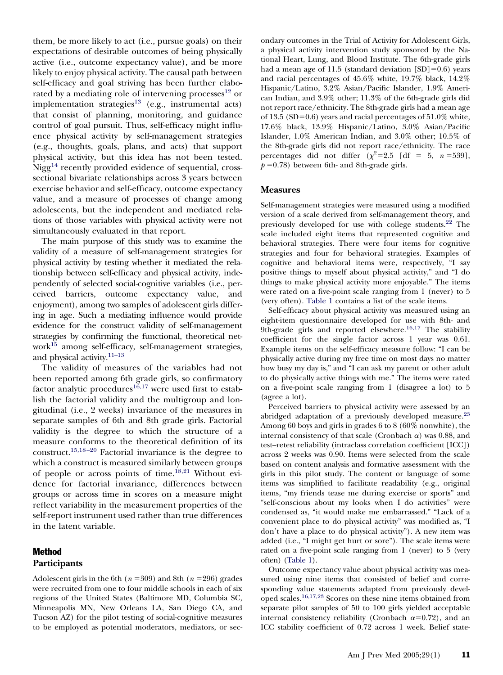them, be more likely to act (i.e., pursue goals) on their expectations of desirable outcomes of being physically active (i.e., outcome expectancy value), and be more likely to enjoy physical activity. The causal path between self-efficacy and goal striving has been further elaborated by a mediating role of intervening processes $^{12}$  or implementation strategies<sup>13</sup> (e.g., instrumental acts) that consist of planning, monitoring, and guidance control of goal pursuit. Thus, self-efficacy might influence physical activity by self-management strategies (e.g., thoughts, goals, plans, and acts) that support physical activity, but this idea has not been tested. Nigg<sup>14</sup> recently provided evidence of sequential, crosssectional bivariate relationships across 3 years between exercise behavior and self-efficacy, outcome expectancy value, and a measure of processes of change among adolescents, but the independent and mediated relations of those variables with physical activity were not simultaneously evaluated in that report.

The main purpose of this study was to examine the validity of a measure of self-management strategies for physical activity by testing whether it mediated the relationship between self-efficacy and physical activity, independently of selected social-cognitive variables (i.e., perceived barriers, outcome expectancy value, and enjoyment), among two samples of adolescent girls differing in age. Such a mediating influence would provide evidence for the construct validity of self-management strategies by confirming the functional, theoretical network $15$  among self-efficacy, self-management strategies, and physical activity[.11–13](#page-9-0)

The validity of measures of the variables had not been reported among 6th grade girls, so confirmatory factor analytic procedures<sup>16,17</sup> were used first to establish the factorial validity and the multigroup and longitudinal (i.e., 2 weeks) invariance of the measures in separate samples of 6th and 8th grade girls. Factorial validity is the degree to which the structure of a measure conforms to the theoretical definition of its construct[.15,18 –20](#page-9-0) Factorial invariance is the degree to which a construct is measured similarly between groups of people or across points of time[.18,21](#page-9-0) Without evidence for factorial invariance, differences between groups or across time in scores on a measure might reflect variability in the measurement properties of the self-report instrument used rather than true differences in the latent variable.

# Method **Participants**

Adolescent girls in the 6th  $(n = 309)$  and 8th  $(n = 296)$  grades were recruited from one to four middle schools in each of six regions of the United States (Baltimore MD, Columbia SC, Minneapolis MN, New Orleans LA, San Diego CA, and Tucson AZ) for the pilot testing of social-cognitive measures to be employed as potential moderators, mediators, or secondary outcomes in the Trial of Activity for Adolescent Girls, a physical activity intervention study sponsored by the National Heart, Lung, and Blood Institute. The 6th-grade girls had a mean age of 11.5 (standard deviation  $[SD]=0.6$ ) years and racial percentages of 45.6% white, 19.7% black, 14.2% Hispanic/Latino, 3.2% Asian/Pacific Islander, 1.9% American Indian, and 3.9% other; 11.3% of the 6th-grade girls did not report race/ethnicity. The 8th-grade girls had a mean age of 13.5 (SD=0.6) years and racial percentages of  $51.0\%$  white, 17.6% black, 13.9% Hispanic/Latino, 3.0% Asian/Pacific Islander, 1.0% American Indian, and 3.0% other; 10.5% of the 8th-grade girls did not report race/ethnicity. The race percentages did not differ  $(\chi^2=2.5 \text{ [df = 5, } n=539])$ ,  $p = 0.78$ ) between 6th- and 8th-grade girls.

#### **Measures**

Self-management strategies were measured using a modified version of a scale derived from self-management theory, and previously developed for use with college students.<sup>22</sup> The scale included eight items that represented cognitive and behavioral strategies. There were four items for cognitive strategies and four for behavioral strategies. Examples of cognitive and behavioral items were, respectively, "I say positive things to myself about physical activity," and "I do things to make physical activity more enjoyable." The items were rated on a five-point scale ranging from 1 (never) to 5 (very often). [Table 1](#page-4-0) contains a list of the scale items.

Self-efficacy about physical activity was measured using an eight-item questionnaire developed for use with 8th- and 9th-grade girls and reported elsewhere.<sup>16,17</sup> The stability coefficient for the single factor across 1 year was 0.61. Example items on the self-efficacy measure follow: "I can be physically active during my free time on most days no matter how busy my day is," and "I can ask my parent or other adult to do physically active things with me." The items were rated on a five-point scale ranging from 1 (disagree a lot) to 5 (agree a lot).

Perceived barriers to physical activity were assessed by an abridged adaptation of a previously developed measure[.23](#page-9-0) Among 60 boys and girls in grades 6 to 8 (60% nonwhite), the internal consistency of that scale (Cronbach  $\alpha$ ) was 0.88, and test–retest reliability (intraclass correlation coefficient [ICC]) across 2 weeks was 0.90. Items were selected from the scale based on content analysis and formative assessment with the girls in this pilot study. The content or language of some items was simplified to facilitate readability (e.g., original items, "my friends tease me during exercise or sports" and "self-conscious about my looks when I do activities" were condensed as, "it would make me embarrassed." "Lack of a convenient place to do physical activity" was modified as, "I don't have a place to do physical activity"). A new item was added (i.e., "I might get hurt or sore"). The scale items were rated on a five-point scale ranging from 1 (never) to 5 (very often) [\(Table 1\)](#page-4-0).

Outcome expectancy value about physical activity was measured using nine items that consisted of belief and corresponding value statements adapted from previously developed scales[.16,17,23](#page-9-0) Scores on these nine items obtained from separate pilot samples of 50 to 100 girls yielded acceptable internal consistency reliability (Cronbach  $\alpha = 0.72$ ), and an ICC stability coefficient of 0.72 across 1 week. Belief state-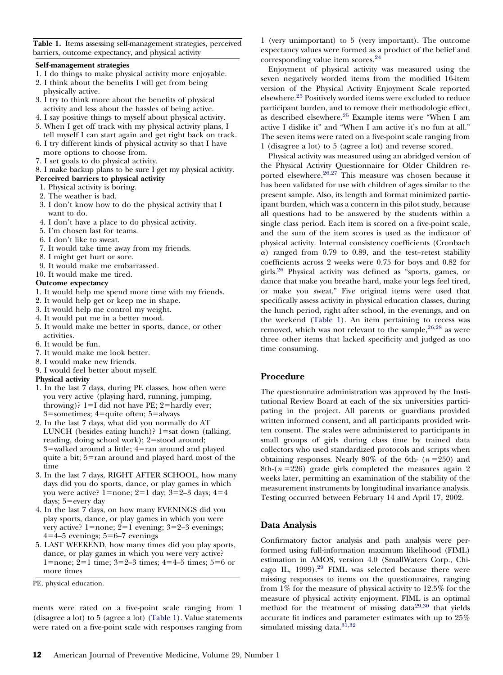<span id="page-4-0"></span>**Table 1.** Items assessing self-management strategies, perceived barriers, outcome expectancy, and physical activity

#### **Self-management strategies**

- 1. I do things to make physical activity more enjoyable.
- 2. I think about the benefits I will get from being physically active.
- 3. I try to think more about the benefits of physical activity and less about the hassles of being active.
- 4. I say positive things to myself about physical activity.
- 5. When I get off track with my physical activity plans, I tell myself I can start again and get right back on track.
- 6. I try different kinds of physical activity so that I have more options to choose from.
- 7. I set goals to do physical activity.
- 8. I make backup plans to be sure I get my physical activity.
- **Perceived barriers to physical activity**
- 1. Physical activity is boring.
- 2. The weather is bad.
- 3. I don't know how to do the physical activity that I want to do.
- 4. I don't have a place to do physical activity.
- 5. I'm chosen last for teams.
- 6. I don't like to sweat.
- 7. It would take time away from my friends.
- 8. I might get hurt or sore.
- 9. It would make me embarrassed.
- 10. It would make me tired.

#### **Outcome expectancy**

- 1. It would help me spend more time with my friends.
- 2. It would help get or keep me in shape.
- 3. It would help me control my weight.
- 4. It would put me in a better mood.
- 5. It would make me better in sports, dance, or other activities.
- 6. It would be fun.
- 7. It would make me look better.
- 8. I would make new friends.
- 9. I would feel better about myself.
- **Physical activity**
- 1. In the last 7 days, during PE classes, how often were you very active (playing hard, running, jumping, throwing)?  $1=I$  did not have PE;  $2=$  hardly ever;  $3$ =sometimes;  $4$ =quite often;  $5$ =always
- 2. In the last 7 days, what did you normally do AT LUNCH (besides eating lunch)?  $1 = sat$  down (talking, reading, doing school work);  $2 =$ stood around;  $3$ =walked around a little;  $4$ =ran around and played quite a bit;  $5=$ ran around and played hard most of the time
- 3. In the last 7 days, RIGHT AFTER SCHOOL, how many days did you do sports, dance, or play games in which you were active?  $1=$ none;  $2=1$  day;  $3=2-3$  days;  $4=4$ days; 5=every day
- 4. In the last 7 days, on how many EVENINGS did you play sports, dance, or play games in which you were very active? 1=none;  $2=1$  evening; 3=2–3 evenings;  $4=4-5$  evenings;  $5=6-7$  evenings
- 5. LAST WEEKEND, how many times did you play sports, dance, or play games in which you were very active? 1=none;  $2=1$  time;  $3=2-3$  times;  $4=4-5$  times;  $5=6$  or more times

ments were rated on a five-point scale ranging from 1 (disagree a lot) to 5 (agree a lot) (Table 1). Value statements were rated on a five-point scale with responses ranging from

1 (very unimportant) to 5 (very important). The outcome expectancy values were formed as a product of the belief and corresponding value item scores[.24](#page-9-0)

Enjoyment of physical activity was measured using the seven negatively worded items from the modified 16-item version of the Physical Activity Enjoyment Scale reported elsewhere[.25](#page-9-0) Positively worded items were excluded to reduce participant burden, and to remove their methodologic effect, as described elsewhere[.25](#page-9-0) Example items were "When I am active I dislike it" and "When I am active it's no fun at all." The seven items were rated on a five-point scale ranging from 1 (disagree a lot) to 5 (agree a lot) and reverse scored.

Physical activity was measured using an abridged version of the Physical Activity Questionnaire for Older Children reported elsewhere.<sup>26,27</sup> This measure was chosen because it has been validated for use with children of ages similar to the present sample. Also, its length and format minimized participant burden, which was a concern in this pilot study, because all questions had to be answered by the students within a single class period. Each item is scored on a five-point scale, and the sum of the item scores is used as the indicator of physical activity. Internal consistency coefficients (Cronbach  $\alpha$ ) ranged from 0.79 to 0.89, and the test–retest stability coefficients across 2 weeks were 0.75 for boys and 0.82 for girls[.26](#page-9-0) Physical activity was defined as "sports, games, or dance that make you breathe hard, make your legs feel tired, or make you sweat." Five original items were used that specifically assess activity in physical education classes, during the lunch period, right after school, in the evenings, and on the weekend (Table 1). An item pertaining to recess was removed, which was not relevant to the sample,  $26.28$  as were three other items that lacked specificity and judged as too time consuming.

## **Procedure**

The questionnaire administration was approved by the Institutional Review Board at each of the six universities participating in the project. All parents or guardians provided written informed consent, and all participants provided written consent. The scales were administered to participants in small groups of girls during class time by trained data collectors who used standardized protocols and scripts when obtaining responses. Nearly 80% of the 6th-  $(n=250)$  and 8th- $(n=226)$  grade girls completed the measures again 2 weeks later, permitting an examination of the stability of the measurement instruments by longitudinal invariance analysis. Testing occurred between February 14 and April 17, 2002.

## **Data Analysis**

Confirmatory factor analysis and path analysis were performed using full-information maximum likelihood (FIML) estimation in AMOS, version 4.0 (SmallWaters Corp., Chicago IL,  $1999$ ).<sup>29</sup> FIML was selected because there were missing responses to items on the questionnaires, ranging from 1% for the measure of physical activity to 12.5% for the measure of physical activity enjoyment. FIML is an optimal method for the treatment of missing data<sup>29,30</sup> that yields accurate fit indices and parameter estimates with up to 25% simulated missing data. $31,32$ 

PE, physical education.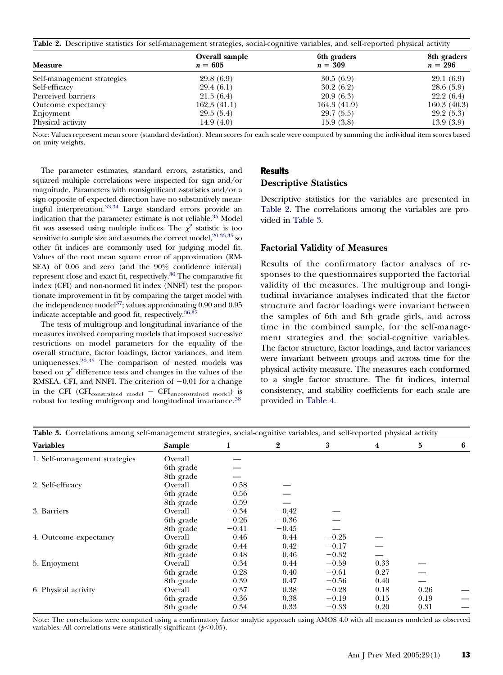**Table 2.** Descriptive statistics for self-management strategies, social-cognitive variables, and self-reported physical activity

| Overall sample<br>$n = 605$ | 6th graders<br>$n = 309$ | 8th graders<br>$n = 296$ |
|-----------------------------|--------------------------|--------------------------|
| 29.8 (6.9)                  | 30.5(6.9)                | 29.1(6.9)                |
| 29.4(6.1)                   | 30.2(6.2)                | 28.6(5.9)                |
| 21.5(6.4)                   | 20.9(6.3)                | 22.2(6.4)                |
| 162.3(41.1)                 | 164.3 (41.9)             | 160.3(40.3)              |
| 29.5(5.4)                   | 29.7(5.5)                | 29.2(5.3)                |
| 14.9 $(4.0)$                | 15.9(3.8)                | 13.9(3.9)                |
|                             |                          |                          |

Note: Values represent mean score (standard deviation). Mean scores for each scale were computed by summing the individual item scores based on unity weights.

The parameter estimates, standard errors, z-statistics, and squared multiple correlations were inspected for sign and/or magnitude. Parameters with nonsignificant z-statistics and/or a sign opposite of expected direction have no substantively meaningful interpretation[.33,34](#page-9-0) Large standard errors provide an indication that the parameter estimate is not reliable[.35](#page-9-0) Model fit was assessed using multiple indices. The  $\chi^2$  statistic is too sensitive to sample size and assumes the correct model,  $20,33,35$  so other fit indices are commonly used for judging model fit. Values of the root mean square error of approximation (RM-SEA) of 0.06 and zero (and the 90% confidence interval) represent close and exact fit, respectively[.36](#page-9-0) The comparative fit index (CFI) and non-normed fit index (NNFI) test the proportionate improvement in fit by comparing the target model with the independence model<sup>37</sup>; values approximating 0.90 and 0.95 indicate acceptable and good fit, respectively.<sup>36,37</sup>

The tests of multigroup and longitudinal invariance of the measures involved comparing models that imposed successive restrictions on model parameters for the equality of the overall structure, factor loadings, factor variances, and item uniquenesses[.20,35](#page-9-0) The comparison of nested models was based on  $\chi^2$  difference tests and changes in the values of the RMSEA, CFI, and NNFI. The criterion of  $-0.01$  for a change in the CFI  $(CFI_{\text{constrained model}} - CFI_{\text{unconstrained model}})$  is robust for testing multigroup and longitudinal invariance.<sup>38</sup>

# Results **Descriptive Statistics**

Descriptive statistics for the variables are presented in Table 2. The correlations among the variables are provided in Table 3.

## **Factorial Validity of Measures**

Results of the confirmatory factor analyses of responses to the questionnaires supported the factorial validity of the measures. The multigroup and longitudinal invariance analyses indicated that the factor structure and factor loadings were invariant between the samples of 6th and 8th grade girls, and across time in the combined sample, for the self-management strategies and the social-cognitive variables. The factor structure, factor loadings, and factor variances were invariant between groups and across time for the physical activity measure. The measures each conformed to a single factor structure. The fit indices, internal consistency, and stability coefficients for each scale are provided in [Table 4.](#page-6-0)

| Table 3. Correlations among self-management strategies, social-cognitive variables, and self-reported physical activity |           |         |         |         |                |      |   |
|-------------------------------------------------------------------------------------------------------------------------|-----------|---------|---------|---------|----------------|------|---|
| <b>Variables</b>                                                                                                        | Sample    | 1       | 2       | 3       | $\overline{4}$ | 5    | 6 |
| 1. Self-management strategies                                                                                           | Overall   |         |         |         |                |      |   |
|                                                                                                                         | 6th grade |         |         |         |                |      |   |
|                                                                                                                         | 8th grade |         |         |         |                |      |   |
| 2. Self-efficacy                                                                                                        | Overall   | 0.58    |         |         |                |      |   |
|                                                                                                                         | 6th grade | 0.56    |         |         |                |      |   |
|                                                                                                                         | 8th grade | 0.59    |         |         |                |      |   |
| 3. Barriers                                                                                                             | Overall   | $-0.34$ | $-0.42$ |         |                |      |   |
|                                                                                                                         | 6th grade | $-0.26$ | $-0.36$ |         |                |      |   |
|                                                                                                                         | 8th grade | $-0.41$ | $-0.45$ |         |                |      |   |
| 4. Outcome expectancy                                                                                                   | Overall   | 0.46    | 0.44    | $-0.25$ |                |      |   |
|                                                                                                                         | 6th grade | 0.44    | 0.42    | $-0.17$ |                |      |   |
|                                                                                                                         | 8th grade | 0.48    | 0.46    | $-0.32$ |                |      |   |
| 5. Enjoyment                                                                                                            | Overall   | 0.34    | 0.44    | $-0.59$ | 0.33           |      |   |
|                                                                                                                         | 6th grade | 0.28    | 0.40    | $-0.61$ | 0.27           |      |   |
|                                                                                                                         | 8th grade | 0.39    | 0.47    | $-0.56$ | 0.40           |      |   |
| 6. Physical activity                                                                                                    | Overall   | 0.37    | 0.38    | $-0.28$ | 0.18           | 0.26 |   |
|                                                                                                                         | 6th grade | 0.36    | 0.38    | $-0.19$ | 0.15           | 0.19 |   |
|                                                                                                                         | 8th grade | 0.34    | 0.33    | $-0.33$ | 0.20           | 0.31 |   |

Note: The correlations were computed using a confirmatory factor analytic approach using AMOS 4.0 with all measures modeled as observed variables. All correlations were statistically significant  $(p<0.05)$ .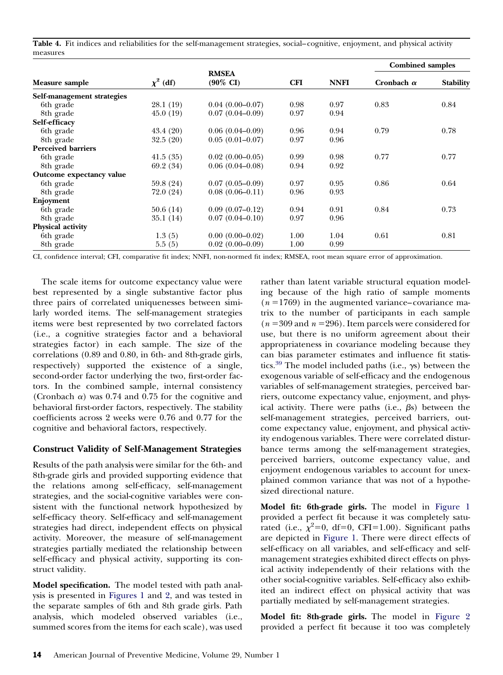<span id="page-6-0"></span>Table 4. Fit indices and reliabilities for the self-management strategies, social–cognitive, enjoyment, and physical activity measures

|                            |               |                                     |            | <b>NNFI</b> | <b>Combined samples</b> |                  |
|----------------------------|---------------|-------------------------------------|------------|-------------|-------------------------|------------------|
| Measure sample             | $\chi^2$ (df) | <b>RMSEA</b><br>$(90\% \text{ CI})$ | <b>CFI</b> |             | Cronbach $\alpha$       | <b>Stability</b> |
| Self-management strategies |               |                                     |            |             |                         |                  |
| 6th grade                  | 28.1 (19)     | $0.04(0.00-0.07)$                   | 0.98       | 0.97        | 0.83                    | 0.84             |
| 8th grade                  | 45.0(19)      | $0.07(0.04 - 0.09)$                 | 0.97       | 0.94        |                         |                  |
| Self-efficacy              |               |                                     |            |             |                         |                  |
| 6th grade                  | 43.4(20)      | $0.06(0.04-0.09)$                   | 0.96       | 0.94        | 0.79                    | 0.78             |
| 8th grade                  | 32.5(20)      | $0.05(0.01-0.07)$                   | 0.97       | 0.96        |                         |                  |
| <b>Perceived barriers</b>  |               |                                     |            |             |                         |                  |
| 6th grade                  | 41.5(35)      | $0.02(0.00-0.05)$                   | 0.99       | 0.98        | 0.77                    | 0.77             |
| 8th grade                  | 69.2 (34)     | $0.06(0.04 - 0.08)$                 | 0.94       | 0.92        |                         |                  |
| Outcome expectancy value   |               |                                     |            |             |                         |                  |
| 6th grade                  | 59.8 (24)     | $0.07(0.05-0.09)$                   | 0.97       | 0.95        | 0.86                    | 0.64             |
| 8th grade                  | 72.0 (24)     | $0.08(0.06 - 0.11)$                 | 0.96       | 0.93        |                         |                  |
| Enjoyment                  |               |                                     |            |             |                         |                  |
| 6th grade                  | 50.6(14)      | $0.09(0.07-0.12)$                   | 0.94       | 0.91        | 0.84                    | 0.73             |
| 8th grade                  | 35.1(14)      | $0.07(0.04 - 0.10)$                 | 0.97       | 0.96        |                         |                  |
| Physical activity          |               |                                     |            |             |                         |                  |
| 6th grade                  | 1.3(5)        | $0.00(0.00-0.02)$                   | 1.00       | 1.04        | 0.61                    | 0.81             |
| 8th grade                  | 5.5(5)        | $0.02(0.00-0.09)$                   | 1.00       | 0.99        |                         |                  |

CI, confidence interval; CFI, comparative fit index; NNFI, non-normed fit index; RMSEA, root mean square error of approximation.

The scale items for outcome expectancy value were best represented by a single substantive factor plus three pairs of correlated uniquenesses between similarly worded items. The self-management strategies items were best represented by two correlated factors (i.e., a cognitive strategies factor and a behavioral strategies factor) in each sample. The size of the correlations (0.89 and 0.80, in 6th- and 8th-grade girls, respectively) supported the existence of a single, second-order factor underlying the two, first-order factors. In the combined sample, internal consistency (Cronbach  $\alpha$ ) was 0.74 and 0.75 for the cognitive and behavioral first-order factors, respectively. The stability coefficients across 2 weeks were 0.76 and 0.77 for the cognitive and behavioral factors, respectively.

# **Construct Validity of Self-Management Strategies**

Results of the path analysis were similar for the 6th- and 8th-grade girls and provided supporting evidence that the relations among self-efficacy, self-management strategies, and the social-cognitive variables were consistent with the functional network hypothesized by self-efficacy theory. Self-efficacy and self-management strategies had direct, independent effects on physical activity. Moreover, the measure of self-management strategies partially mediated the relationship between self-efficacy and physical activity, supporting its construct validity.

**Model specification.** The model tested with path analysis is presented in [Figures 1](#page-7-0) and [2,](#page-7-0) and was tested in the separate samples of 6th and 8th grade girls. Path analysis, which modeled observed variables (i.e., summed scores from the items for each scale), was used

rather than latent variable structural equation modeling because of the high ratio of sample moments  $(n = 1769)$  in the augmented variance–covariance matrix to the number of participants in each sample  $(n = 309 \text{ and } n = 296)$ . Item parcels were considered for use, but there is no uniform agreement about their appropriateness in covariance modeling because they can bias parameter estimates and influence fit statistics.<sup>39</sup> The model included paths (i.e.,  $\gamma s$ ) between the exogenous variable of self-efficacy and the endogenous variables of self-management strategies, perceived barriers, outcome expectancy value, enjoyment, and physical activity. There were paths (i.e.,  $\beta s$ ) between the self-management strategies, perceived barriers, outcome expectancy value, enjoyment, and physical activity endogenous variables. There were correlated disturbance terms among the self-management strategies, perceived barriers, outcome expectancy value, and enjoyment endogenous variables to account for unexplained common variance that was not of a hypothesized directional nature.

**Model fit: 6th-grade girls.** The model in [Figure 1](#page-7-0) provided a perfect fit because it was completely saturated (i.e.,  $\chi^2$ =0, df=0, CFI=1.00). Significant paths are depicted in [Figure 1.](#page-7-0) There were direct effects of self-efficacy on all variables, and self-efficacy and selfmanagement strategies exhibited direct effects on physical activity independently of their relations with the other social-cognitive variables. Self-efficacy also exhibited an indirect effect on physical activity that was partially mediated by self-management strategies.

**Model fit: 8th-grade girls.** The model in [Figure 2](#page-7-0) provided a perfect fit because it too was completely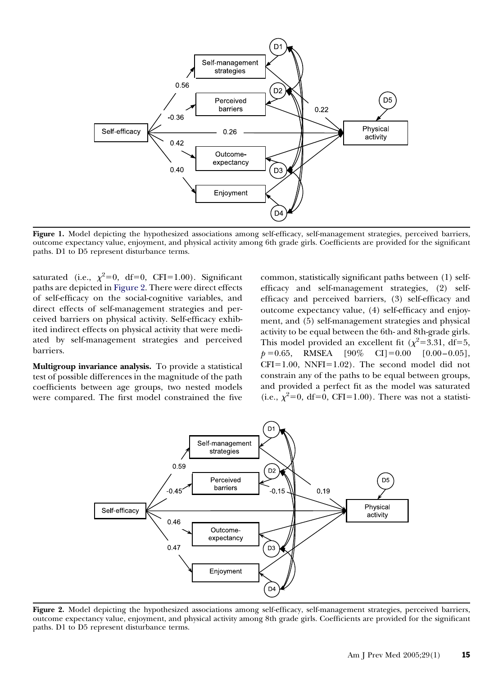<span id="page-7-0"></span>

**Figure 1.** Model depicting the hypothesized associations among self-efficacy, self-management strategies, perceived barriers, outcome expectancy value, enjoyment, and physical activity among 6th grade girls. Coefficients are provided for the significant paths. D1 to D5 represent disturbance terms.

saturated (i.e.,  $\chi^2=0$ , df=0, CFI=1.00). Significant paths are depicted in Figure 2. There were direct effects of self-efficacy on the social-cognitive variables, and direct effects of self-management strategies and perceived barriers on physical activity. Self-efficacy exhibited indirect effects on physical activity that were mediated by self-management strategies and perceived barriers.

**Multigroup invariance analysis.** To provide a statistical test of possible differences in the magnitude of the path coefficients between age groups, two nested models were compared. The first model constrained the five common, statistically significant paths between (1) selfefficacy and self-management strategies, (2) selfefficacy and perceived barriers, (3) self-efficacy and outcome expectancy value, (4) self-efficacy and enjoyment, and (5) self-management strategies and physical activity to be equal between the 6th- and 8th-grade girls. This model provided an excellent fit ( $\chi^2$ =3.31, df=5,  $p = 0.65$ , RMSEA  $[90\% \text{ CI}] = 0.00 \quad [0.00 - 0.05]$ ,  $CFI = 1.00$ , NNFI= $1.02$ ). The second model did not constrain any of the paths to be equal between groups, and provided a perfect fit as the model was saturated (i.e.,  $\chi^2=0$ , df=0, CFI=1.00). There was not a statisti-



**Figure 2.** Model depicting the hypothesized associations among self-efficacy, self-management strategies, perceived barriers, outcome expectancy value, enjoyment, and physical activity among 8th grade girls. Coefficients are provided for the significant paths. D1 to D5 represent disturbance terms.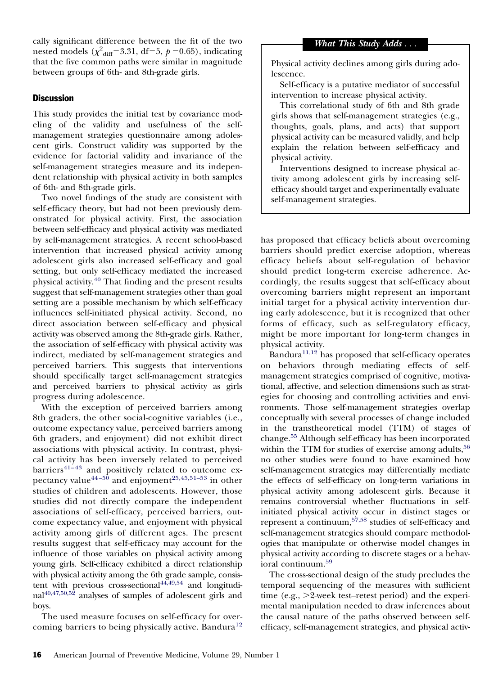cally significant difference between the fit of the two nested models  $(\chi^2_{\text{diff}}=3.31, \text{ df}=5, p=0.65)$ , indicating that the five common paths were similar in magnitude between groups of 6th- and 8th-grade girls.

## **Discussion**

This study provides the initial test by covariance modeling of the validity and usefulness of the selfmanagement strategies questionnaire among adolescent girls. Construct validity was supported by the evidence for factorial validity and invariance of the self-management strategies measure and its independent relationship with physical activity in both samples of 6th- and 8th-grade girls.

Two novel findings of the study are consistent with self-efficacy theory, but had not been previously demonstrated for physical activity. First, the association between self-efficacy and physical activity was mediated by self-management strategies. A recent school-based intervention that increased physical activity among adolescent girls also increased self-efficacy and goal setting, but only self-efficacy mediated the increased physical activity[.40](#page-9-0) That finding and the present results suggest that self-management strategies other than goal setting are a possible mechanism by which self-efficacy influences self-initiated physical activity. Second, no direct association between self-efficacy and physical activity was observed among the 8th-grade girls. Rather, the association of self-efficacy with physical activity was indirect, mediated by self-management strategies and perceived barriers. This suggests that interventions should specifically target self-management strategies and perceived barriers to physical activity as girls progress during adolescence.

With the exception of perceived barriers among 8th graders, the other social-cognitive variables (i.e., outcome expectancy value, perceived barriers among 6th graders, and enjoyment) did not exhibit direct associations with physical activity. In contrast, physical activity has been inversely related to perceived barriers $41-43$  and positively related to outcome expectancy value<sup>44-50</sup> and enjoyment<sup>25,45,51-53</sup> in other studies of children and adolescents. However, those studies did not directly compare the independent associations of self-efficacy, perceived barriers, outcome expectancy value, and enjoyment with physical activity among girls of different ages. The present results suggest that self-efficacy may account for the influence of those variables on physical activity among young girls. Self-efficacy exhibited a direct relationship with physical activity among the 6th grade sample, consistent with previous cross-sectional<sup>44,49,54</sup> and longitudinal $40,47,50,52$  analyses of samples of adolescent girls and boys.

The used measure focuses on self-efficacy for over-coming barriers to being physically active. Bandura<sup>[12](#page-9-0)</sup> *What This Study Adds* ...

Physical activity declines among girls during adolescence.

Self-efficacy is a putative mediator of successful intervention to increase physical activity.

This correlational study of 6th and 8th grade girls shows that self-management strategies (e.g., thoughts, goals, plans, and acts) that support physical activity can be measured validly, and help explain the relation between self-efficacy and physical activity.

Interventions designed to increase physical activity among adolescent girls by increasing selfefficacy should target and experimentally evaluate self-management strategies.

has proposed that efficacy beliefs about overcoming barriers should predict exercise adoption, whereas efficacy beliefs about self-regulation of behavior should predict long-term exercise adherence. Accordingly, the results suggest that self-efficacy about overcoming barriers might represent an important initial target for a physical activity intervention during early adolescence, but it is recognized that other forms of efficacy, such as self-regulatory efficacy, might be more important for long-term changes in physical activity.

Bandura $11,12$  has proposed that self-efficacy operates on behaviors through mediating effects of selfmanagement strategies comprised of cognitive, motivational, affective, and selection dimensions such as strategies for choosing and controlling activities and environments. Those self-management strategies overlap conceptually with several processes of change included in the transtheoretical model (TTM) of stages of change[.55](#page-10-0) Although self-efficacy has been incorporated within the TTM for studies of exercise among adults,  $56$ no other studies were found to have examined how self-management strategies may differentially mediate the effects of self-efficacy on long-term variations in physical activity among adolescent girls. Because it remains controversial whether fluctuations in selfinitiated physical activity occur in distinct stages or represent a continuum[,57,58](#page-10-0) studies of self-efficacy and self-management strategies should compare methodologies that manipulate or otherwise model changes in physical activity according to discrete stages or a behavioral continuum[.59](#page-10-0)

The cross-sectional design of the study precludes the temporal sequencing of the measures with sufficient time (e.g.,  $>2$ -week test–retest period) and the experimental manipulation needed to draw inferences about the causal nature of the paths observed between selfefficacy, self-management strategies, and physical activ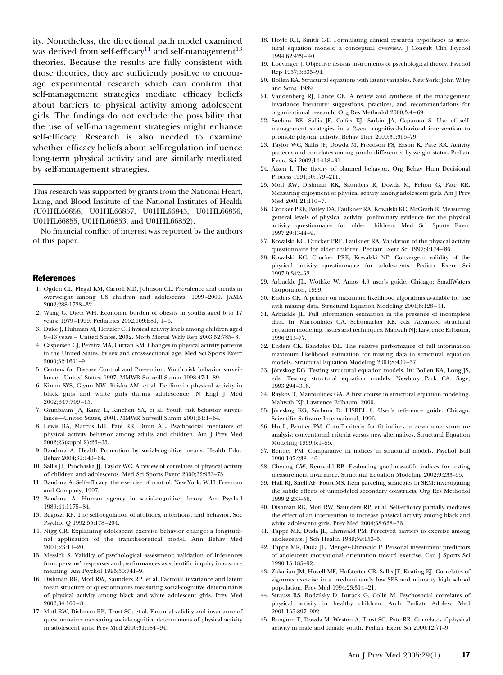<span id="page-9-0"></span>ity. Nonetheless, the directional path model examined was derived from self-efficacy<sup>11</sup> and self-management<sup>13</sup> theories. Because the results are fully consistent with those theories, they are sufficiently positive to encourage experimental research which can confirm that self-management strategies mediate efficacy beliefs about barriers to physical activity among adolescent girls. The findings do not exclude the possibility that the use of self-management strategies might enhance self-efficacy. Research is also needed to examine whether efficacy beliefs about self-regulation influence long-term physical activity and are similarly mediated by self-management strategies.

This research was supported by grants from the National Heart, Lung, and Blood Institute of the National Institutes of Health (U01HL66858, U01HL66857, U01HL66845, U01HL66856, U01HL66855, U01HL66853, and U01HL66852).

No financial conflict of interest was reported by the authors of this paper.

#### References

- 1. Ogden CL, Flegal KM, Carroll MD, Johnson CL. Prevalence and trends in overweight among US children and adolescents, 1999 –2000. JAMA 2002;288:1728 –32.
- 2. Wang G, Dietz WH. Economic burden of obesity in youths aged 6 to 17 years: 1979-1999. Pediatrics 2002;109:E81, 1-6.
- 3. Duke J, Huhman M, Heitzler C. Physical activity levels among children aged 9 –13 years – United States, 2002. Morb Mortal Wkly Rep 2003;52:785– 8.
- 4. Caspersen CJ, Pereira MA, Curran KM. Changes in physical activity patterns in the United States, by sex and cross-sectional age. Med Sci Sports Exerc 2000;32:1601–9.
- 5. Centers for Disease Control and Prevention. Youth risk behavior surveillance—United States, 1997. MMWR Surveill Summ 1998;47:1– 89.
- 6. Kimm SYS, Glynn NW, Kriska AM, et al. Decline in physical activity in black girls and white girls during adolescence. N Engl J Med 2002;347:709 –15.
- 7. Grunbaum JA, Kann L, Kinchen SA, et al. Youth risk behavior surveillance—United States, 2001. MMWR Surveill Summ 2001;51:1– 64.
- 8. Lewis BA, Marcus BH, Pate RR, Dunn AL. Psychosocial mediators of physical activity behavior among adults and children. Am J Prev Med 2002;23(suppl 2):26 –35.
- 9. Bandura A. Health Promotion by social-cognitive means. Health Educ Behav 2004;31:143– 64.
- 10. Sallis JF, Prochaska JJ, Taylor WC. A review of correlates of physical activity of children and adolescents. Med Sci Sports Exerc 2000;32:963–75.
- 11. Bandura A. Self-efficacy: the exercise of control. New York: W.H. Freeman and Company, 1997.
- 12. Bandura A. Human agency in social-cognitive theory. Am Psychol 1989;44:1175– 84.
- 13. Bagozzi RP. The self-regulation of attitudes, intentions, and behavior. Soc Psychol Q 1992;55:178 –204.
- 14. Nigg CR. Explaining adolescent exercise behavior change: a longitudinal application of the transtheoretical model. Ann Behav Med 2001;23:11–20.
- 15. Messick S. Validity of psychological assessment: validation of inferences from persons' responses and performances as scientific inquiry into score meaning. Am Psychol 1995;50:741–9.
- 16. Dishman RK, Motl RW, Saunders RP, et al. Factorial invariance and latent mean structure of questionnaires measuring social-cognitive determinants of physical activity among black and white adolescent girls. Prev Med 2002;34:100 – 8.
- 17. Motl RW, Dishman RK, Trost SG, et al. Factorial validity and invariance of questionnaires measuring social-cognitive determinants of physical activity in adolescent girls. Prev Med 2000;31:584 –94.
- 18. Hoyle RH, Smith GT. Formulating clinical research hypotheses as structural equation models: a conceptual overview. J Consult Clin Psychol 1994;62:429 – 40.
- 19. Loevinger J. Objective tests as instruments of psychological theory. Psychol Rep 1957;3:635–94.
- 20. Bollen KA. Structural equations with latent variables. New York: John Wiley and Sons, 1989.
- 21. Vandenberg RJ, Lance CE. A review and synthesis of the management invariance literature: suggestions, practices, and recommendations for organizational research. Org Res Methodol 2000;3:4 – 69.
- 22. Saelens BE, Sallis JF, Calfas KJ, Sarkin JA, Caparosa S. Use of selfmanagement strategies in a 2-year cognitive-behavioral intervention to promote physical activity. Behav Ther 2000;31:365–79.
- 23. Taylor WC, Sallis JF, Dowda M, Freedson PS, Eason K, Pate RR. Activity patterns and correlates among youth: differences by weight status. Pediatr Exerc Sci 2002;14:418 –31.
- 24. Ajzen I. The theory of planned behavior. Org Behav Hum Decisional Process 1991;50:179 –211.
- 25. Motl RW, Dishman RK, Saunders R, Dowda M, Felton G, Pate RR. Measuring enjoyment of physical activity among adolescent girls. Am J Prev Med 2001;21:110-7.
- 26. Crocker PRE, Bailey DA, Faulkner RA, Kowalski KC, McGrath R. Measuring general levels of physical activity: preliminary evidence for the physical activity questionnaire for older children. Med Sci Sports Exerc 1997;29:1344 –9.
- 27. Kowalski KC, Crocker PRE, Faulkner RA. Validation of the physical activity questionnaire for older children. Pediatr Exerc Sci 1997;9:174 – 86.
- 28. Kowalski KC, Crocker PRE, Kowalski NP. Convergent validity of the physical activity questionnaire for adolescents. Pediatr Exerc Sci 1997;9:342–52.
- 29. Arbuckle JL, Wothke W. Amos 4.0 user's guide. Chicago: SmallWaters Corporation, 1999.
- 30. Enders CK. A primer on maximum likelihood algorithms available for use with missing data. Structural Equation Modeling 2001;8:128 – 41.
- 31. Arbuckle JL. Full information estimation in the presence of incomplete data. In: Marcoulides GA, Schumacker RE, eds. Advanced structural equation modeling: issues and techniques. Mahwah NJ: Lawrence Erlbaum, 1996:243–77.
- 32. Enders CK, Bandalos DL. The relative performance of full information maximum likelihood estimation for missing data in structural equation models. Structural Equation Modeling 2001;8:430 –57.
- 33. Jöreskog KG. Testing structural equation models. In: Bollen KA, Long JS, eds. Testing structural equation models. Newbury Park CA: Sage, 1993:294 –316.
- 34. Raykov T, Marcoulides GA. A first course in structural equation modeling. Mahwah NJ: Lawrence Erlbaum, 2000.
- 35. Jöreskog KG, Sörbom D. LISREL 8: User's reference guide. Chicago: Scientific Software International, 1996.
- 36. Hu L, Bentler PM. Cutoff criteria for fit indices in covariance structure analysis: conventional criteria versus new alternatives. Structural Equation Modeling 1999;6:1–55.
- 37. Bentler PM. Comparative fit indices in structural models. Psychol Bull 1990;107:238 – 46.
- 38. Cheung GW, Rensvold RB. Evaluating goodness-of-fit indices for testing measurement invariance. Structural Equation Modeling 2002;9:233–55.
- 39. Hall RJ, Snell AF, Foust MS. Item parceling strategies in SEM: investigating the subtle effects of unmodeled secondary constructs. Org Res Methodol 1999;2:233–56.
- 40. Dishman RK, Motl RW, Saunders RP, et al. Self-efficacy partially mediates the effect of an intervention to increase physical activity among black and white adolescent girls. Prev Med 2004;38:628 –36.
- 41. Tappe MK, Duda JL, Ehrnwald PM. Perceived barriers to exercise among adolescents. J Sch Health 1989;59:153–5.
- 42. Tappe MK, Duda JL, Menges-Ehrnwald P. Personal investiment predictors of adolescent motivational orientation toward exercise. Can J Sports Sci 1990;15:185–92.
- 43. Zakarian JM, Hovell MF, Hofstetter CR, Sallis JF, Keating KJ. Correlates of vigorous exercise in a predominantly low SES and minority high school population. Prev Med 1994;23:314 –21.
- 44. Strauss RS, Rodzilsky D, Burack G, Colin M. Psychosocial correlates of physical activity in healthy children. Arch Pediatr Adolesc Med 2001;155:897–902.
- 45. Bungum T, Dowda M, Weston A, Trost SG, Pate RR. Correlates if physical activity in male and female youth. Pediatr Exerc Sci 2000;12:71–9.